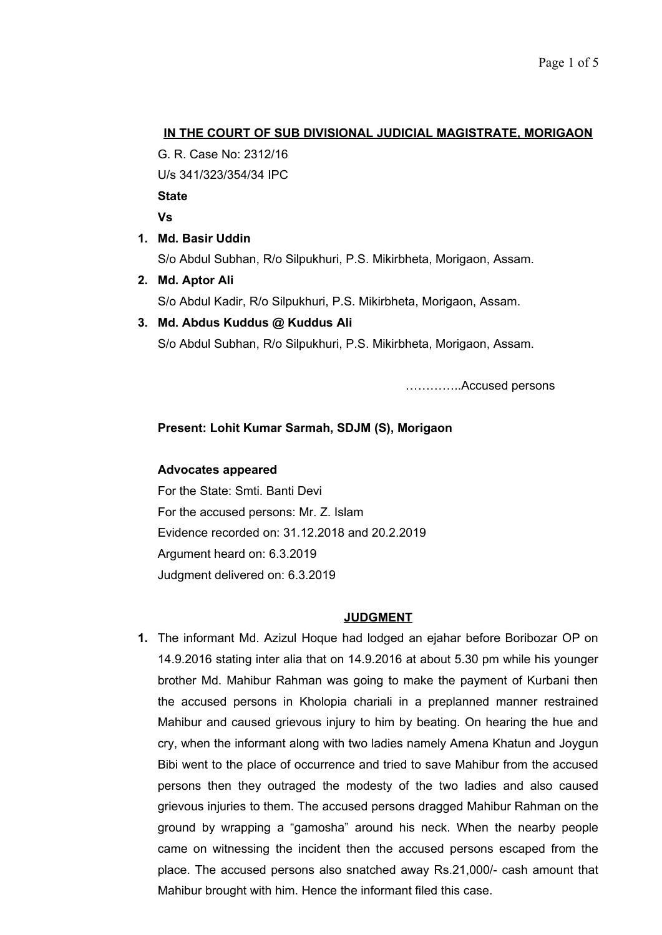## **IN THE COURT OF SUB DIVISIONAL JUDICIAL MAGISTRATE, MORIGAON**

G. R. Case No: 2312/16

U/s 341/323/354/34 IPC

**State**

**Vs** 

**1. Md. Basir Uddin**

S/o Abdul Subhan, R/o Silpukhuri, P.S. Mikirbheta, Morigaon, Assam.

- **2. Md. Aptor Ali** S/o Abdul Kadir, R/o Silpukhuri, P.S. Mikirbheta, Morigaon, Assam.
- **3. Md. Abdus Kuddus @ Kuddus Ali** S/o Abdul Subhan, R/o Silpukhuri, P.S. Mikirbheta, Morigaon, Assam.

…………..Accused persons

# **Present: Lohit Kumar Sarmah, SDJM (S), Morigaon**

#### **Advocates appeared**

For the State: Smti. Banti Devi For the accused persons: Mr. Z. Islam Evidence recorded on: 31.12.2018 and 20.2.2019 Argument heard on: 6.3.2019 Judgment delivered on: 6.3.2019

#### **JUDGMENT**

**1.** The informant Md. Azizul Hoque had lodged an ejahar before Boribozar OP on 14.9.2016 stating inter alia that on 14.9.2016 at about 5.30 pm while his younger brother Md. Mahibur Rahman was going to make the payment of Kurbani then the accused persons in Kholopia chariali in a preplanned manner restrained Mahibur and caused grievous injury to him by beating. On hearing the hue and cry, when the informant along with two ladies namely Amena Khatun and Joygun Bibi went to the place of occurrence and tried to save Mahibur from the accused persons then they outraged the modesty of the two ladies and also caused grievous injuries to them. The accused persons dragged Mahibur Rahman on the ground by wrapping a "gamosha" around his neck. When the nearby people came on witnessing the incident then the accused persons escaped from the place. The accused persons also snatched away Rs.21,000/- cash amount that Mahibur brought with him. Hence the informant filed this case.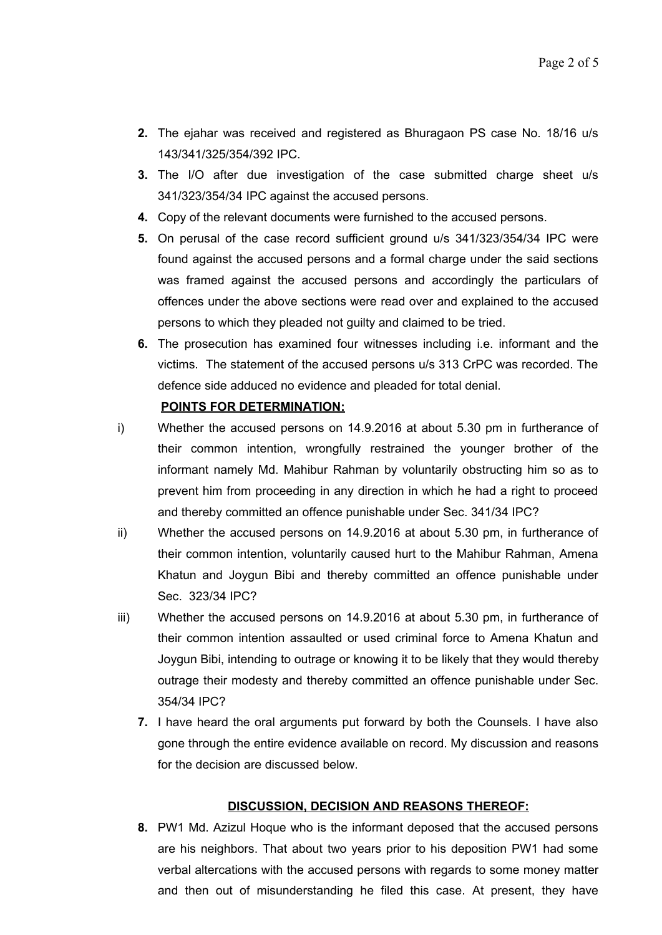- **2.** The ejahar was received and registered as Bhuragaon PS case No. 18/16 u/s 143/341/325/354/392 IPC.
- **3.** The I/O after due investigation of the case submitted charge sheet u/s 341/323/354/34 IPC against the accused persons.
- **4.** Copy of the relevant documents were furnished to the accused persons.
- **5.** On perusal of the case record sufficient ground u/s 341/323/354/34 IPC were found against the accused persons and a formal charge under the said sections was framed against the accused persons and accordingly the particulars of offences under the above sections were read over and explained to the accused persons to which they pleaded not guilty and claimed to be tried.
- **6.** The prosecution has examined four witnesses including i.e. informant and the victims. The statement of the accused persons u/s 313 CrPC was recorded. The defence side adduced no evidence and pleaded for total denial.

## **POINTS FOR DETERMINATION:**

- i) Whether the accused persons on 14.9.2016 at about 5.30 pm in furtherance of their common intention, wrongfully restrained the younger brother of the informant namely Md. Mahibur Rahman by voluntarily obstructing him so as to prevent him from proceeding in any direction in which he had a right to proceed and thereby committed an offence punishable under Sec. 341/34 IPC?
- ii) Whether the accused persons on 14.9.2016 at about 5.30 pm, in furtherance of their common intention, voluntarily caused hurt to the Mahibur Rahman, Amena Khatun and Joygun Bibi and thereby committed an offence punishable under Sec. 323/34 IPC?
- iii) Whether the accused persons on 14.9.2016 at about 5.30 pm, in furtherance of their common intention assaulted or used criminal force to Amena Khatun and Joygun Bibi, intending to outrage or knowing it to be likely that they would thereby outrage their modesty and thereby committed an offence punishable under Sec. 354/34 IPC?
	- **7.** I have heard the oral arguments put forward by both the Counsels. I have also gone through the entire evidence available on record. My discussion and reasons for the decision are discussed below.

#### **DISCUSSION, DECISION AND REASONS THEREOF:**

**8.** PW1 Md. Azizul Hoque who is the informant deposed that the accused persons are his neighbors. That about two years prior to his deposition PW1 had some verbal altercations with the accused persons with regards to some money matter and then out of misunderstanding he filed this case. At present, they have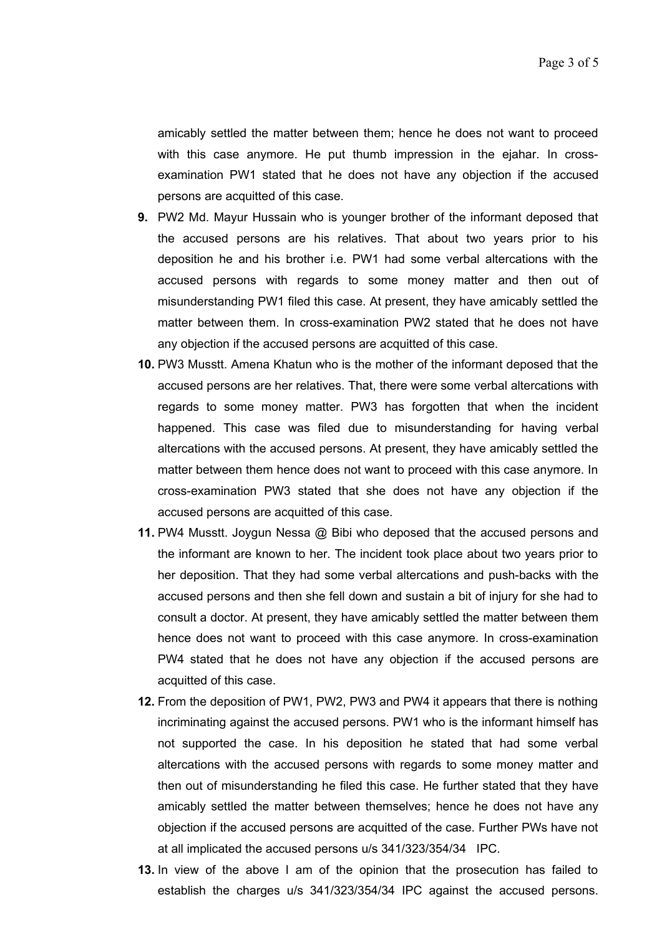amicably settled the matter between them; hence he does not want to proceed with this case anymore. He put thumb impression in the ejahar. In crossexamination PW1 stated that he does not have any objection if the accused persons are acquitted of this case.

- **9.** PW2 Md. Mayur Hussain who is younger brother of the informant deposed that the accused persons are his relatives. That about two years prior to his deposition he and his brother i.e. PW1 had some verbal altercations with the accused persons with regards to some money matter and then out of misunderstanding PW1 filed this case. At present, they have amicably settled the matter between them. In cross-examination PW2 stated that he does not have any objection if the accused persons are acquitted of this case.
- **10.** PW3 Musstt. Amena Khatun who is the mother of the informant deposed that the accused persons are her relatives. That, there were some verbal altercations with regards to some money matter. PW3 has forgotten that when the incident happened. This case was filed due to misunderstanding for having verbal altercations with the accused persons. At present, they have amicably settled the matter between them hence does not want to proceed with this case anymore. In cross-examination PW3 stated that she does not have any objection if the accused persons are acquitted of this case.
- **11.** PW4 Musstt. Joygun Nessa @ Bibi who deposed that the accused persons and the informant are known to her. The incident took place about two years prior to her deposition. That they had some verbal altercations and push-backs with the accused persons and then she fell down and sustain a bit of injury for she had to consult a doctor. At present, they have amicably settled the matter between them hence does not want to proceed with this case anymore. In cross-examination PW4 stated that he does not have any objection if the accused persons are acquitted of this case.
- **12.** From the deposition of PW1, PW2, PW3 and PW4 it appears that there is nothing incriminating against the accused persons. PW1 who is the informant himself has not supported the case. In his deposition he stated that had some verbal altercations with the accused persons with regards to some money matter and then out of misunderstanding he filed this case. He further stated that they have amicably settled the matter between themselves; hence he does not have any objection if the accused persons are acquitted of the case. Further PWs have not at all implicated the accused persons u/s 341/323/354/34 IPC.
- **13.** In view of the above I am of the opinion that the prosecution has failed to establish the charges u/s 341/323/354/34 IPC against the accused persons.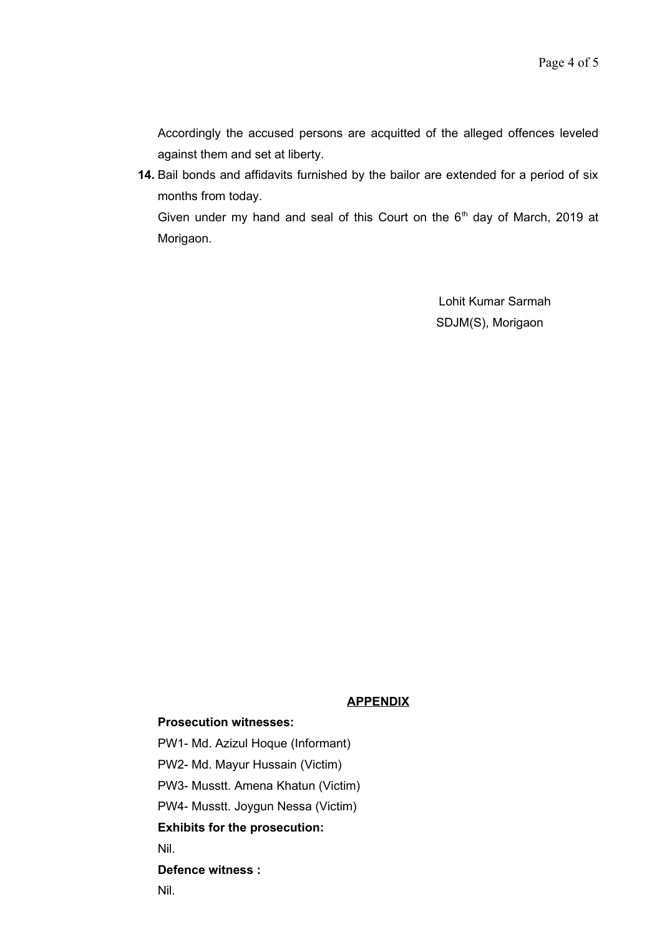Accordingly the accused persons are acquitted of the alleged offences leveled against them and set at liberty.

**14.** Bail bonds and affidavits furnished by the bailor are extended for a period of six months from today. Given under my hand and seal of this Court on the  $6<sup>th</sup>$  day of March, 2019 at

Morigaon.

Lohit Kumar Sarmah SDJM(S), Morigaon

# **APPENDIX**

#### **Prosecution witnesses:**

PW1- Md. Azizul Hoque (Informant)

PW2- Md. Mayur Hussain (Victim)

PW3- Musstt. Amena Khatun (Victim)

PW4- Musstt. Joygun Nessa (Victim)

# **Exhibits for the prosecution:**

Nil.

#### **Defence witness :**

Nil.